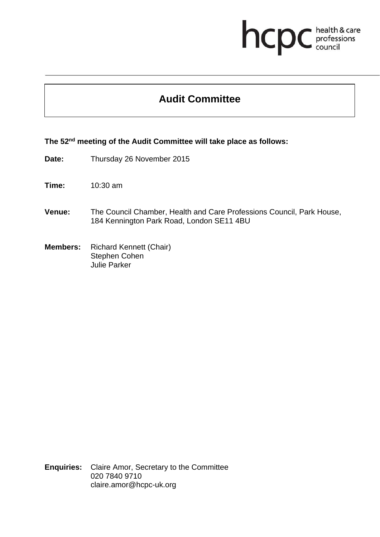## **health & care**

## **Audit Committee**

## **The 52nd meeting of the Audit Committee will take place as follows:**

- **Date:** Thursday 26 November 2015
- **Time:** 10:30 am
- **Venue:** The Council Chamber, Health and Care Professions Council, Park House, 184 Kennington Park Road, London SE11 4BU
- **Members:** Richard Kennett (Chair) Stephen Cohen Julie Parker

**Enquiries:** Claire Amor, Secretary to the Committee 020 7840 9710 claire.amor@hcpc-uk.org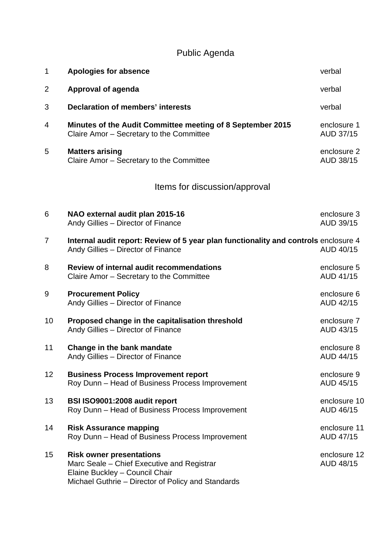## Public Agenda

| $\mathbf 1$                   | <b>Apologies for absence</b>                                                                                                                                          | verbal                          |
|-------------------------------|-----------------------------------------------------------------------------------------------------------------------------------------------------------------------|---------------------------------|
| $\overline{2}$                | <b>Approval of agenda</b>                                                                                                                                             | verbal                          |
| 3                             | <b>Declaration of members' interests</b>                                                                                                                              | verbal                          |
| 4                             | Minutes of the Audit Committee meeting of 8 September 2015<br>Claire Amor - Secretary to the Committee                                                                | enclosure 1<br>AUD 37/15        |
| 5                             | <b>Matters arising</b><br>Claire Amor - Secretary to the Committee                                                                                                    | enclosure 2<br>AUD 38/15        |
| Items for discussion/approval |                                                                                                                                                                       |                                 |
| 6                             | NAO external audit plan 2015-16<br>Andy Gillies - Director of Finance                                                                                                 | enclosure 3<br>AUD 39/15        |
| $\overline{7}$                | Internal audit report: Review of 5 year plan functionality and controls enclosure 4<br>Andy Gillies - Director of Finance                                             | AUD 40/15                       |
| 8                             | Review of internal audit recommendations<br>Claire Amor - Secretary to the Committee                                                                                  | enclosure 5<br>AUD 41/15        |
| 9                             | <b>Procurement Policy</b><br>Andy Gillies - Director of Finance                                                                                                       | enclosure 6<br>AUD 42/15        |
| 10                            | Proposed change in the capitalisation threshold<br>Andy Gillies - Director of Finance                                                                                 | enclosure 7<br>AUD 43/15        |
| 11                            | <b>Change in the bank mandate</b><br>Andy Gillies - Director of Finance                                                                                               | enclosure 8<br><b>AUD 44/15</b> |
| 12 <sub>2</sub>               | <b>Business Process Improvement report</b><br>Roy Dunn - Head of Business Process Improvement                                                                         | enclosure 9<br>AUD 45/15        |
| 13                            | BSI ISO9001:2008 audit report<br>Roy Dunn - Head of Business Process Improvement                                                                                      | enclosure 10<br>AUD 46/15       |
| 14                            | <b>Risk Assurance mapping</b><br>Roy Dunn - Head of Business Process Improvement                                                                                      | enclosure 11<br>AUD 47/15       |
| 15                            | <b>Risk owner presentations</b><br>Marc Seale – Chief Executive and Registrar<br>Elaine Buckley - Council Chair<br>Michael Guthrie – Director of Policy and Standards | enclosure 12<br>AUD 48/15       |